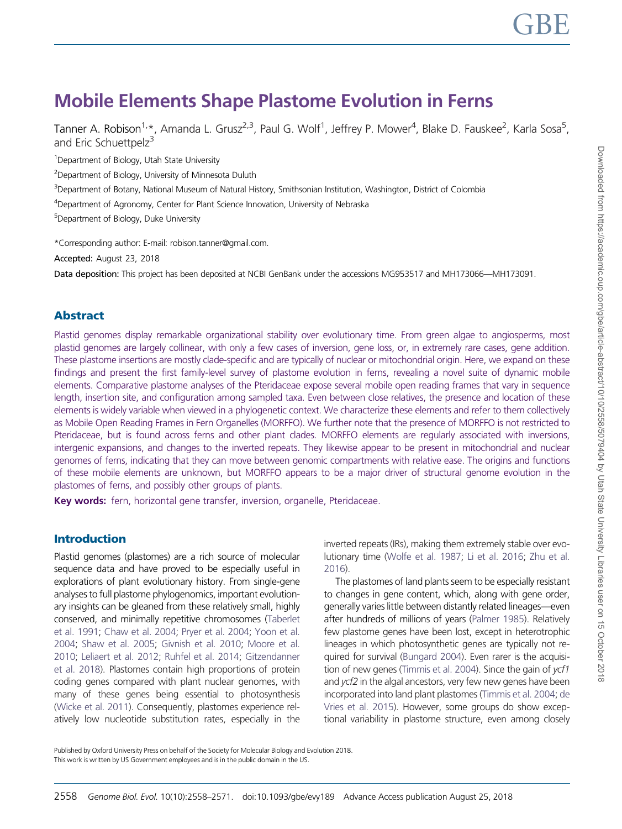# Mobile Elements Shape Plastome Evolution in Ferns

Tanner A. Robison<sup>1,</sup>\*, Amanda L. Grusz<sup>2,3</sup>, Paul G. Wolf<sup>1</sup>, Jeffrey P. Mower<sup>4</sup>, Blake D. Fauskee<sup>2</sup>, Karla Sosa<sup>5</sup>, and Fric Schuettpelz<sup>3</sup>

<sup>1</sup>Department of Biology, Utah State University

<sup>2</sup>Department of Biology, University of Minnesota Duluth

3 Department of Botany, National Museum of Natural History, Smithsonian Institution, Washington, District of Colombia

4 Department of Agronomy, Center for Plant Science Innovation, University of Nebraska

5 Department of Biology, Duke University

\*Corresponding author: E-mail: robison.tanner@gmail.com.

Accepted: August 23, 2018

Data deposition: This project has been deposited at NCBI GenBank under the accessions MG953517 and MH173066—MH173091.

# Abstract

Plastid genomes display remarkable organizational stability over evolutionary time. From green algae to angiosperms, most plastid genomes are largely collinear, with only a few cases of inversion, gene loss, or, in extremely rare cases, gene addition. These plastome insertions are mostly clade-specific and are typically of nuclear or mitochondrial origin. Here, we expand on these findings and present the first family-level survey of plastome evolution in ferns, revealing a novel suite of dynamic mobile elements. Comparative plastome analyses of the Pteridaceae expose several mobile open reading frames that vary in sequence length, insertion site, and configuration among sampled taxa. Even between close relatives, the presence and location of these elements is widely variable when viewed in a phylogenetic context. We characterize these elements and refer to them collectively as Mobile Open Reading Frames in Fern Organelles (MORFFO). We further note that the presence of MORFFO is not restricted to Pteridaceae, but is found across ferns and other plant clades. MORFFO elements are regularly associated with inversions, intergenic expansions, and changes to the inverted repeats. They likewise appear to be present in mitochondrial and nuclear genomes of ferns, indicating that they can move between genomic compartments with relative ease. The origins and functions of these mobile elements are unknown, but MORFFO appears to be a major driver of structural genome evolution in the plastomes of ferns, and possibly other groups of plants.

Key words: fern, horizontal gene transfer, inversion, organelle, Pteridaceae.

# Introduction

Plastid genomes (plastomes) are a rich source of molecular sequence data and have proved to be especially useful in explorations of plant evolutionary history. From single-gene analyses to full plastome phylogenomics, important evolutionary insights can be gleaned from these relatively small, highly conserved, and minimally repetitive chromosomes [\(Taberlet](#page-13-0) [et al. 1991](#page-13-0); [Chaw et al. 2004](#page-11-0); [Pryer et al. 2004;](#page-12-0) [Yoon et al.](#page-13-0) [2004](#page-13-0); [Shaw et al. 2005](#page-12-0); [Givnish et al. 2010;](#page-11-0) [Moore et al.](#page-12-0) [2010](#page-12-0); [Leliaert et al. 2012;](#page-12-0) [Ruhfel et al. 2014;](#page-12-0) [Gitzendanner](#page-11-0) [et al. 2018\)](#page-11-0). Plastomes contain high proportions of protein coding genes compared with plant nuclear genomes, with many of these genes being essential to photosynthesis [\(Wicke et al. 2011](#page-13-0)). Consequently, plastomes experience relatively low nucleotide substitution rates, especially in the inverted repeats (IRs), making them extremely stable over evolutionary time ([Wolfe et al. 1987;](#page-13-0) [Li et al. 2016](#page-12-0); [Zhu et al.](#page-13-0) [2016\)](#page-13-0).

The plastomes of land plants seem to be especially resistant to changes in gene content, which, along with gene order, generally varies little between distantly related lineages—even after hundreds of millions of years [\(Palmer 1985\)](#page-12-0). Relatively few plastome genes have been lost, except in heterotrophic lineages in which photosynthetic genes are typically not required for survival ([Bungard 2004\)](#page-11-0). Even rarer is the acquisition of new genes [\(Timmis et al. 2004\)](#page-13-0). Since the gain of ycf1 and ycf2 in the algal ancestors, very few new genes have been incorporated into land plant plastomes ([Timmis et al. 2004;](#page-13-0) [de](#page-13-0) [Vries et al. 2015](#page-13-0)). However, some groups do show exceptional variability in plastome structure, even among closely

Published by Oxford University Press on behalf of the Society for Molecular Biology and Evolution 2018. This work is written by US Government employees and is in the public domain in the US.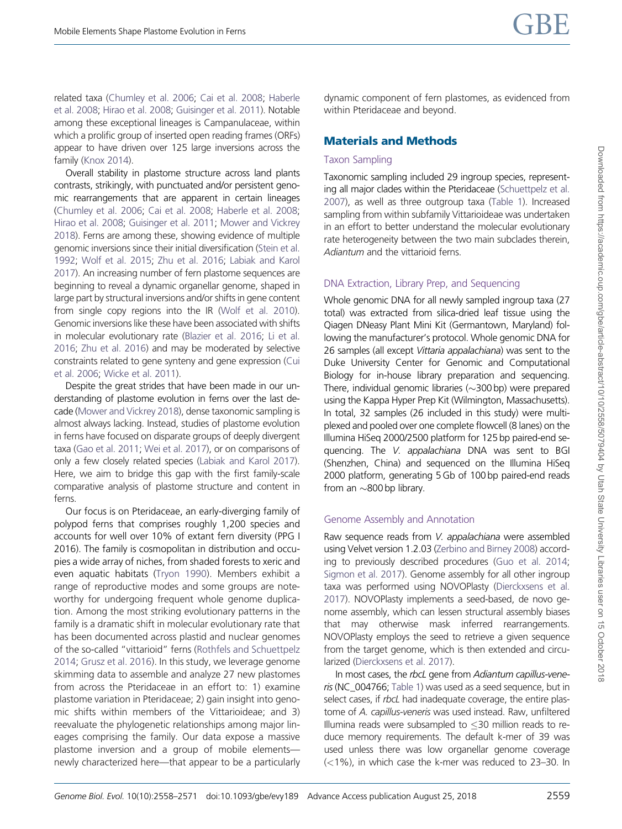related taxa [\(Chumley et al. 2006;](#page-11-0) [Cai et al. 2008](#page-11-0); [Haberle](#page-11-0) [et al. 2008;](#page-11-0) [Hirao et al. 2008;](#page-11-0) [Guisinger et al. 2011\)](#page-11-0). Notable among these exceptional lineages is Campanulaceae, within which a prolific group of inserted open reading frames (ORFs) appear to have driven over 125 large inversions across the family [\(Knox 2014](#page-12-0)).

Overall stability in plastome structure across land plants contrasts, strikingly, with punctuated and/or persistent genomic rearrangements that are apparent in certain lineages [\(Chumley et al. 2006](#page-11-0); [Cai et al. 2008;](#page-11-0) [Haberle et al. 2008;](#page-11-0) [Hirao et al. 2008;](#page-11-0) [Guisinger et al. 2011](#page-11-0); [Mower and Vickrey](#page-12-0) [2018](#page-12-0)). Ferns are among these, showing evidence of multiple genomic inversions since their initial diversification [\(Stein et al.](#page-13-0) [1992](#page-13-0); [Wolf et al. 2015](#page-13-0); [Zhu et al. 2016;](#page-13-0) [Labiak and Karol](#page-12-0) [2017](#page-12-0)). An increasing number of fern plastome sequences are beginning to reveal a dynamic organellar genome, shaped in large part by structural inversions and/or shifts in gene content from single copy regions into the IR ([Wolf et al. 2010](#page-13-0)). Genomic inversions like these have been associated with shifts in molecular evolutionary rate [\(Blazier et al. 2016](#page-11-0); [Li et al.](#page-12-0) [2016](#page-12-0); [Zhu et al. 2016\)](#page-13-0) and may be moderated by selective constraints related to gene synteny and gene expression [\(Cui](#page-11-0) [et al. 2006](#page-11-0); [Wicke et al. 2011\)](#page-13-0).

Despite the great strides that have been made in our understanding of plastome evolution in ferns over the last decade [\(Mower and Vickrey 2018](#page-12-0)), dense taxonomic sampling is almost always lacking. Instead, studies of plastome evolution in ferns have focused on disparate groups of deeply divergent taxa [\(Gao et al. 2011](#page-11-0); [Wei et al. 2017\)](#page-13-0), or on comparisons of only a few closely related species [\(Labiak and Karol 2017](#page-12-0)). Here, we aim to bridge this gap with the first family-scale comparative analysis of plastome structure and content in ferns.

Our focus is on Pteridaceae, an early-diverging family of polypod ferns that comprises roughly 1,200 species and accounts for well over 10% of extant fern diversity (PPG I 2016). The family is cosmopolitan in distribution and occupies a wide array of niches, from shaded forests to xeric and even aquatic habitats ([Tryon 1990\)](#page-13-0). Members exhibit a range of reproductive modes and some groups are noteworthy for undergoing frequent whole genome duplication. Among the most striking evolutionary patterns in the family is a dramatic shift in molecular evolutionary rate that has been documented across plastid and nuclear genomes of the so-called "vittarioid" ferns ([Rothfels and Schuettpelz](#page-12-0) [2014;](#page-12-0) [Grusz et al. 2016](#page-11-0)). In this study, we leverage genome skimming data to assemble and analyze 27 new plastomes from across the Pteridaceae in an effort to: 1) examine plastome variation in Pteridaceae; 2) gain insight into genomic shifts within members of the Vittarioideae; and 3) reevaluate the phylogenetic relationships among major lineages comprising the family. Our data expose a massive plastome inversion and a group of mobile elements newly characterized here—that appear to be a particularly

dynamic component of fern plastomes, as evidenced from within Pteridaceae and beyond.

# Materials and Methods

## Taxon Sampling

Taxonomic sampling included 29 ingroup species, representing all major clades within the Pteridaceae [\(Schuettpelz et al.](#page-12-0) [2007\)](#page-12-0), as well as three outgroup taxa ([Table 1\)](#page-2-0). Increased sampling from within subfamily Vittarioideae was undertaken in an effort to better understand the molecular evolutionary rate heterogeneity between the two main subclades therein, Adiantum and the vittarioid ferns.

# DNA Extraction, Library Prep, and Sequencing

Whole genomic DNA for all newly sampled ingroup taxa (27 total) was extracted from silica-dried leaf tissue using the Qiagen DNeasy Plant Mini Kit (Germantown, Maryland) following the manufacturer's protocol. Whole genomic DNA for 26 samples (all except Vittaria appalachiana) was sent to the Duke University Center for Genomic and Computational Biology for in-house library preparation and sequencing. There, individual genomic libraries  $(\sim]300$  bp) were prepared using the Kappa Hyper Prep Kit (Wilmington, Massachusetts). In total, 32 samples (26 included in this study) were multiplexed and pooled over one complete flowcell (8 lanes) on the Illumina HiSeq 2000/2500 platform for 125 bp paired-end sequencing. The V. appalachiana DNA was sent to BGI (Shenzhen, China) and sequenced on the Illumina HiSeq 2000 platform, generating 5 Gb of 100 bp paired-end reads from an  $\sim$ 800 bp library.

# Genome Assembly and Annotation

Raw sequence reads from V. appalachiana were assembled using Velvet version 1.2.03 [\(Zerbino and Birney 2008](#page-13-0)) according to previously described procedures [\(Guo et al. 2014](#page-11-0); [Sigmon et al. 2017](#page-12-0)). Genome assembly for all other ingroup taxa was performed using NOVOPlasty [\(Dierckxsens et al.](#page-11-0) [2017\)](#page-11-0). NOVOPlasty implements a seed-based, de novo genome assembly, which can lessen structural assembly biases that may otherwise mask inferred rearrangements. NOVOPlasty employs the seed to retrieve a given sequence from the target genome, which is then extended and circularized ([Dierckxsens et al. 2017\)](#page-11-0).

In most cases, the rbcL gene from Adiantum capillus-veneris (NC\_004766; [Table 1](#page-2-0)) was used as a seed sequence, but in select cases, if rbcL had inadequate coverage, the entire plastome of A. capillus-veneris was used instead. Raw, unfiltered Illumina reads were subsampled to  $\leq$  30 million reads to reduce memory requirements. The default k-mer of 39 was used unless there was low organellar genome coverage  $(<1%)$ , in which case the k-mer was reduced to 23-30. In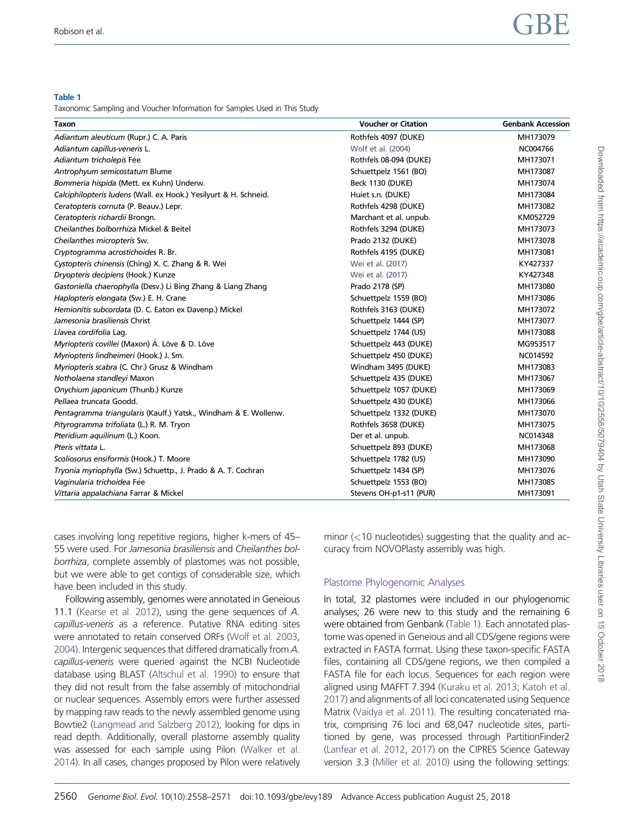<span id="page-2-0"></span>Taxonomic Sampling and Voucher Information for Samples Used in This Study

| Taxon                                                            | <b>Voucher or Citation</b> | <b>Genbank Accession</b> |
|------------------------------------------------------------------|----------------------------|--------------------------|
| Adiantum aleuticum (Rupr.) C. A. Paris                           | Rothfels 4097 (DUKE)       | MH173079                 |
| Adiantum capillus-veneris L.                                     | Wolf et al. (2004)         | NC004766                 |
| Adiantum tricholepis Fée                                         | Rothfels 08-094 (DUKE)     | MH173071                 |
| Antrophyum semicostatum Blume                                    | Schuettpelz 1561 (BO)      | MH173087                 |
| Bommeria hispida (Mett. ex Kuhn) Underw.                         | Beck 1130 (DUKE)           | MH173074                 |
| Calciphilopteris ludens (Wall. ex Hook.) Yesilyurt & H. Schneid. | Huiet s.n. (DUKE)          | MH173084                 |
| Ceratopteris cornuta (P. Beauv.) Lepr.                           | Rothfels 4298 (DUKE)       | MH173082                 |
| Ceratopteris richardii Brongn.                                   | Marchant et al. unpub.     | KM052729                 |
| Cheilanthes bolborrhiza Mickel & Beitel                          | Rothfels 3294 (DUKE)       | MH173073                 |
| Cheilanthes micropteris Sw.                                      | Prado 2132 (DUKE)          | MH173078                 |
| Cryptogramma acrostichoides R. Br.                               | Rothfels 4195 (DUKE)       | MH173081                 |
| Cystopteris chinensis (Ching) X. C. Zhang & R. Wei               | Wei et al. (2017)          | KY427337                 |
| Dryopteris decipiens (Hook.) Kunze                               | Wei et al. (2017)          | KY427348                 |
| Gastoniella chaerophylla (Desv.) Li Bing Zhang & Liang Zhang     | Prado 2178 (SP)            | MH173080                 |
| Haplopteris elongata (Sw.) E. H. Crane                           | Schuettpelz 1559 (BO)      | MH173086                 |
| Hemionitis subcordata (D. C. Eaton ex Davenp.) Mickel            | Rothfels 3163 (DUKE)       | MH173072                 |
| Jamesonia brasiliensis Christ                                    | Schuettpelz 1444 (SP)      | MH173077                 |
| Llavea cordifolia Lag.                                           | Schuettpelz 1744 (US)      | MH173088                 |
| Myriopteris covillei (Maxon) A. Löve & D. Löve                   | Schuettpelz 443 (DUKE)     | MG953517                 |
| Myriopteris lindheimeri (Hook.) J. Sm.                           | Schuettpelz 450 (DUKE)     | NC014592                 |
| Myriopteris scabra (C. Chr.) Grusz & Windham                     | Windham 3495 (DUKE)        | MH173083                 |
| Notholaena standleyi Maxon                                       | Schuettpelz 435 (DUKE)     | MH173067                 |
| Onychium japonicum (Thunb.) Kunze                                | Schuettpelz 1057 (DUKE)    | MH173069                 |
| Pellaea truncata Goodd.                                          | Schuettpelz 430 (DUKE)     | MH173066                 |
| Pentagramma triangularis (Kaulf.) Yatsk., Windham & E. Wollenw.  | Schuettpelz 1332 (DUKE)    | MH173070                 |
| Pityrogramma trifoliata (L.) R. M. Tryon                         | Rothfels 3658 (DUKE)       | MH173075                 |
| Pteridium aquilinum (L.) Koon.                                   | Der et al. unpub.          | NC014348                 |
| Pteris vittata L.                                                | Schuettpelz 893 (DUKE)     | MH173068                 |
| Scoliosorus ensiformis (Hook.) T. Moore                          | Schuettpelz 1782 (US)      | MH173090                 |
| Tryonia myriophylla (Sw.) Schuettp., J. Prado & A. T. Cochran    | Schuettpelz 1434 (SP)      | MH173076                 |
| Vaginularia trichoidea Fée                                       | Schuettpelz 1553 (BO)      | MH173085                 |
| Vittaria appalachiana Farrar & Mickel                            | Stevens OH-p1-s11 (PUR)    | MH173091                 |

cases involving long repetitive regions, higher k-mers of 45– 55 were used. For Jamesonia brasiliensis and Cheilanthes bolborrhiza, complete assembly of plastomes was not possible, but we were able to get contigs of considerable size, which have been included in this study.

Following assembly, genomes were annotated in Geneious 11.1 [\(Kearse et al. 2012](#page-12-0)), using the gene sequences of A. capillus-veneris as a reference. Putative RNA editing sites were annotated to retain conserved ORFs [\(Wolf et al. 2003,](#page-13-0) [2004](#page-13-0)). Intergenic sequences that differed dramatically from A. capillus-veneris were queried against the NCBI Nucleotide database using BLAST [\(Altschul et al. 1990](#page-11-0)) to ensure that they did not result from the false assembly of mitochondrial or nuclear sequences. Assembly errors were further assessed by mapping raw reads to the newly assembled genome using Bowtie2 [\(Langmead and Salzberg 2012](#page-12-0)), looking for dips in read depth. Additionally, overall plastome assembly quality was assessed for each sample using Pilon [\(Walker et al.](#page-13-0) [2014](#page-13-0)). In all cases, changes proposed by Pilon were relatively minor  $\left($  < 10 nucleotides) suggesting that the quality and accuracy from NOVOPlasty assembly was high.

# Plastome Phylogenomic Analyses

In total, 32 plastomes were included in our phylogenomic analyses; 26 were new to this study and the remaining 6 were obtained from Genbank (Table 1). Each annotated plastome was opened in Geneious and all CDS/gene regions were extracted in FASTA format. Using these taxon-specific FASTA files, containing all CDS/gene regions, we then compiled a FASTA file for each locus. Sequences for each region were aligned using MAFFT 7.394 [\(Kuraku et al. 2013](#page-12-0); [Katoh et al.](#page-12-0) [2017\)](#page-12-0) and alignments of all loci concatenated using Sequence Matrix ([Vaidya et al. 2011\)](#page-13-0). The resulting concatenated matrix, comprising 76 loci and 68,047 nucleotide sites, partitioned by gene, was processed through PartitionFinder2 [\(Lanfear et al. 2012](#page-12-0), [2017](#page-12-0)) on the CIPRES Science Gateway version 3.3 [\(Miller et al. 2010](#page-12-0)) using the following settings: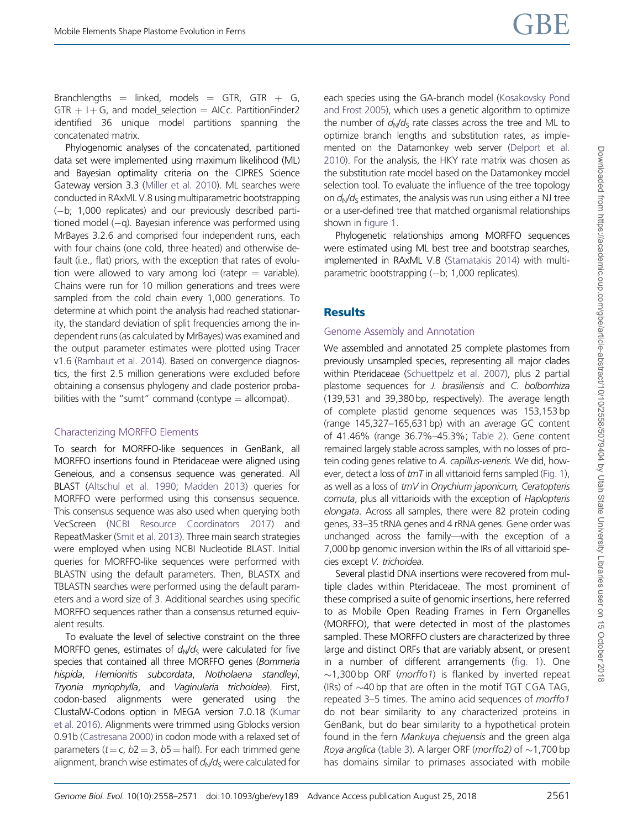Branchlengths  $=$  linked, models  $=$  GTR, GTR  $+$  G,  $GTR + I + G$ , and model selection = AICc. PartitionFinder2 identified 36 unique model partitions spanning the concatenated matrix.

Phylogenomic analyses of the concatenated, partitioned data set were implemented using maximum likelihood (ML) and Bayesian optimality criteria on the CIPRES Science Gateway version 3.3 [\(Miller et al. 2010](#page-12-0)). ML searches were conducted in RAxML V.8 using multiparametric bootstrapping (-b; 1,000 replicates) and our previously described partitioned model  $(-q)$ . Bayesian inference was performed using MrBayes 3.2.6 and comprised four independent runs, each with four chains (one cold, three heated) and otherwise default (i.e., flat) priors, with the exception that rates of evolution were allowed to vary among loci (ratepr  $=$  variable). Chains were run for 10 million generations and trees were sampled from the cold chain every 1,000 generations. To determine at which point the analysis had reached stationarity, the standard deviation of split frequencies among the independent runs (as calculated by MrBayes) was examined and the output parameter estimates were plotted using Tracer v1.6 [\(Rambaut et al. 2014\)](#page-12-0). Based on convergence diagnostics, the first 2.5 million generations were excluded before obtaining a consensus phylogeny and clade posterior probabilities with the "sumt" command (contype  $=$  allcompat).

## Characterizing MORFFO Elements

To search for MORFFO-like sequences in GenBank, all MORFFO insertions found in Pteridaceae were aligned using Geneious, and a consensus sequence was generated. All BLAST [\(Altschul et al. 1990](#page-11-0); [Madden 2013\)](#page-12-0) queries for MORFFO were performed using this consensus sequence. This consensus sequence was also used when querying both VecScreen ([NCBI Resource Coordinators 2017\)](#page-12-0) and RepeatMasker ([Smit et al. 2013\)](#page-12-0). Three main search strategies were employed when using NCBI Nucleotide BLAST. Initial queries for MORFFO-like sequences were performed with BLASTN using the default parameters. Then, BLASTX and TBLASTN searches were performed using the default parameters and a word size of 3. Additional searches using specific MORFFO sequences rather than a consensus returned equivalent results.

To evaluate the level of selective constraint on the three MORFFO genes, estimates of  $d_N/d_S$  were calculated for five species that contained all three MORFFO genes (Bommeria hispida, Hemionitis subcordata, Notholaena standleyi, Tryonia myriophylla, and Vaginularia trichoidea). First, codon-based alignments were generated using the ClustalW-Codons option in MEGA version 7.0.18 [\(Kumar](#page-12-0) [et al. 2016](#page-12-0)). Alignments were trimmed using Gblocks version 0.91b [\(Castresana 2000](#page-11-0)) in codon mode with a relaxed set of parameters ( $t = c$ ,  $b2 = 3$ ,  $b5 =$  half). For each trimmed gene alignment, branch wise estimates of  $d_N/d_S$  were calculated for each species using the GA-branch model [\(Kosakovsky Pond](#page-12-0) [and Frost 2005\)](#page-12-0), which uses a genetic algorithm to optimize the number of  $d_N/d_S$  rate classes across the tree and ML to optimize branch lengths and substitution rates, as implemented on the Datamonkey web server [\(Delport et al.](#page-11-0) [2010\)](#page-11-0). For the analysis, the HKY rate matrix was chosen as the substitution rate model based on the Datamonkey model selection tool. To evaluate the influence of the tree topology on  $d_v/d_s$  estimates, the analysis was run using either a NJ tree or a user-defined tree that matched organismal relationships shown in [figure 1](#page-4-0).

Phylogenetic relationships among MORFFO sequences were estimated using ML best tree and bootstrap searches, implemented in RAxML V.8 ([Stamatakis 2014](#page-13-0)) with multiparametric bootstrapping  $(-b; 1,000$  replicates).

# **Results**

# Genome Assembly and Annotation

We assembled and annotated 25 complete plastomes from previously unsampled species, representing all major clades within Pteridaceae ([Schuettpelz et al. 2007\)](#page-12-0), plus 2 partial plastome sequences for J. brasiliensis and C. bolborrhiza (139,531 and 39,380 bp, respectively). The average length of complete plastid genome sequences was 153,153 bp (range 145,327–165,631 bp) with an average GC content of 41.46% (range 36.7%–45.3%; [Table 2](#page-5-0)). Gene content remained largely stable across samples, with no losses of protein coding genes relative to A. capillus-veneris. We did, however, detect a loss of  $trnT$  in all vittarioid ferns sampled [\(Fig. 1\)](#page-4-0), as well as a loss of trnV in Onychium japonicum, Ceratopteris cornuta, plus all vittarioids with the exception of Haplopteris elongata. Across all samples, there were 82 protein coding genes, 33–35 tRNA genes and 4 rRNA genes. Gene order was unchanged across the family—with the exception of a 7,000 bp genomic inversion within the IRs of all vittarioid species except V. trichoidea.

Several plastid DNA insertions were recovered from multiple clades within Pteridaceae. The most prominent of these comprised a suite of genomic insertions, here referred to as Mobile Open Reading Frames in Fern Organelles (MORFFO), that were detected in most of the plastomes sampled. These MORFFO clusters are characterized by three large and distinct ORFs that are variably absent, or present in a number of different arrangements ([fig. 1](#page-4-0)). One  $\sim$ 1,300 bp ORF (*morffo1*) is flanked by inverted repeat (IRs) of  $\sim$ 40 bp that are often in the motif TGT CGA TAG, repeated 3–5 times. The amino acid sequences of morffo1 do not bear similarity to any characterized proteins in GenBank, but do bear similarity to a hypothetical protein found in the fern Mankuya chejuensis and the green alga Roya anglica ([table 3](#page-6-0)). A larger ORF (morffo2) of  $\sim$ 1,700 bp has domains similar to primases associated with mobile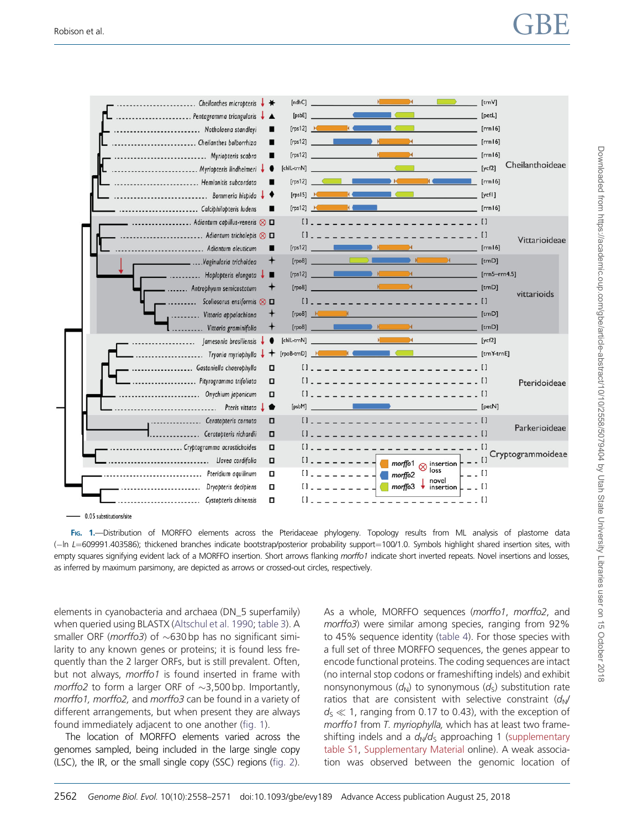<span id="page-4-0"></span>

 $-0.05$  substitutions/site

FIG. 1.—Distribution of MORFFO elements across the Pteridaceae phylogeny. Topology results from ML analysis of plastome data (-In L=609991.403586); thickened branches indicate bootstrap/posterior probability support=100/1.0. Symbols highlight shared insertion sites, with empty squares signifying evident lack of a MORFFO insertion. Short arrows flanking morffo1 indicate short inverted repeats. Novel insertions and losses, as inferred by maximum parsimony, are depicted as arrows or crossed-out circles, respectively.

elements in cyanobacteria and archaea (DN\_5 superfamily) when queried using BLASTX [\(Altschul et al. 1990](#page-11-0); [table 3\)](#page-6-0). A smaller ORF (*morffo3*) of  $\sim$ 630 bp has no significant similarity to any known genes or proteins; it is found less frequently than the 2 larger ORFs, but is still prevalent. Often, but not always, morffo1 is found inserted in frame with *morffo2* to form a larger ORF of  $\sim$ 3,500 bp. Importantly, morffo1, morffo2, and morffo3 can be found in a variety of different arrangements, but when present they are always found immediately adjacent to one another (fig. 1).

The location of MORFFO elements varied across the genomes sampled, being included in the large single copy (LSC), the IR, or the small single copy (SSC) regions [\(fig. 2](#page-6-0)).

As a whole, MORFFO sequences (morffo1, morffo2, and morffo3) were similar among species, ranging from 92% to 45% sequence identity [\(table 4](#page-7-0)). For those species with a full set of three MORFFO sequences, the genes appear to encode functional proteins. The coding sequences are intact (no internal stop codons or frameshifting indels) and exhibit nonsynonymous  $(d_N)$  to synonymous  $(d_S)$  substitution rate ratios that are consistent with selective constraint  $(d_N/$  $d_S \ll 1$ , ranging from 0.17 to 0.43), with the exception of morffo1 from T. myriophylla, which has at least two frameshifting indels and a  $d_N/d_S$  approaching 1 [\(supplementary](https://academic.oup.com/gbe/article-lookup/doi/10.1093/gbe/evy189#supplementary-data) [table S1](https://academic.oup.com/gbe/article-lookup/doi/10.1093/gbe/evy189#supplementary-data), [Supplementary Material](https://academic.oup.com/gbe/article-lookup/doi/10.1093/gbe/evy189#supplementary-data) online). A weak association was observed between the genomic location of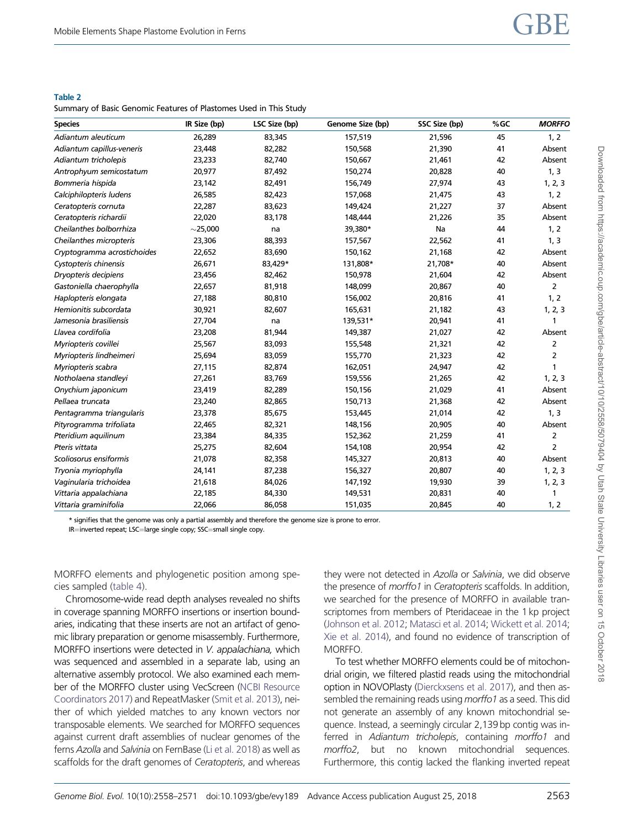#### <span id="page-5-0"></span>Summary of Basic Genomic Features of Plastomes Used in This Study

| <b>Species</b>              | IR Size (bp)  | LSC Size (bp) | Genome Size (bp) | SSC Size (bp) | %GC | <b>MORFFO</b>  |
|-----------------------------|---------------|---------------|------------------|---------------|-----|----------------|
| Adiantum aleuticum          | 26,289        | 83,345        | 157,519          | 21,596        | 45  | 1, 2           |
| Adiantum capillus-veneris   | 23,448        | 82,282        | 150,568          | 21,390        | 41  | Absent         |
| Adiantum tricholepis        | 23,233        | 82,740        | 150,667          | 21,461        | 42  | Absent         |
| Antrophyum semicostatum     | 20,977        | 87,492        | 150,274          | 20,828        | 40  | 1, 3           |
| Bommeria hispida            | 23,142        | 82,491        | 156,749          | 27,974        | 43  | 1, 2, 3        |
| Calciphilopteris ludens     | 26,585        | 82,423        | 157,068          | 21,475        | 43  | 1, 2           |
| Ceratopteris cornuta        | 22,287        | 83,623        | 149,424          | 21,227        | 37  | Absent         |
| Ceratopteris richardii      | 22,020        | 83,178        | 148,444          | 21,226        | 35  | Absent         |
| Cheilanthes bolborrhiza     | $\sim$ 25,000 | na            | 39,380*          | Na            | 44  | 1, 2           |
| Cheilanthes micropteris     | 23,306        | 88,393        | 157,567          | 22,562        | 41  | 1, 3           |
| Cryptogramma acrostichoides | 22,652        | 83,690        | 150,162          | 21,168        | 42  | Absent         |
| Cystopteris chinensis       | 26,671        | 83,429*       | 131,808*         | 21,708*       | 40  | Absent         |
| Dryopteris decipiens        | 23,456        | 82,462        | 150,978          | 21,604        | 42  | Absent         |
| Gastoniella chaerophylla    | 22,657        | 81,918        | 148,099          | 20,867        | 40  | 2              |
| Haplopteris elongata        | 27,188        | 80,810        | 156,002          | 20,816        | 41  | 1, 2           |
| Hemionitis subcordata       | 30,921        | 82,607        | 165,631          | 21,182        | 43  | 1, 2, 3        |
| Jamesonia brasiliensis      | 27,704        | na            | 139,531*         | 20,941        | 41  | 1              |
| Llavea cordifolia           | 23,208        | 81,944        | 149,387          | 21,027        | 42  | Absent         |
| Myriopteris covillei        | 25,567        | 83,093        | 155,548          | 21,321        | 42  | 2              |
| Myriopteris lindheimeri     | 25,694        | 83,059        | 155,770          | 21,323        | 42  | 2              |
| Myriopteris scabra          | 27,115        | 82,874        | 162,051          | 24,947        | 42  | 1              |
| Notholaena standleyi        | 27,261        | 83,769        | 159,556          | 21,265        | 42  | 1, 2, 3        |
| Onychium japonicum          | 23,419        | 82,289        | 150,156          | 21,029        | 41  | Absent         |
| Pellaea truncata            | 23,240        | 82,865        | 150,713          | 21,368        | 42  | Absent         |
| Pentagramma triangularis    | 23,378        | 85,675        | 153,445          | 21,014        | 42  | 1, 3           |
| Pityrogramma trifoliata     | 22,465        | 82,321        | 148,156          | 20,905        | 40  | Absent         |
| Pteridium aquilinum         | 23,384        | 84,335        | 152,362          | 21,259        | 41  | 2              |
| Pteris vittata              | 25,275        | 82,604        | 154,108          | 20,954        | 42  | $\overline{2}$ |
| Scoliosorus ensiformis      | 21,078        | 82,358        | 145,327          | 20,813        | 40  | Absent         |
| Tryonia myriophylla         | 24,141        | 87,238        | 156,327          | 20,807        | 40  | 1, 2, 3        |
| Vaginularia trichoidea      | 21,618        | 84,026        | 147,192          | 19,930        | 39  | 1, 2, 3        |
| Vittaria appalachiana       | 22,185        | 84,330        | 149,531          | 20,831        | 40  | 1              |
| Vittaria graminifolia       | 22,066        | 86,058        | 151,035          | 20,845        | 40  | 1, 2           |

\* signifies that the genome was only a partial assembly and therefore the genome size is prone to error.

IR=inverted repeat; LSC=large single copy; SSC=small single copy.

MORFFO elements and phylogenetic position among species sampled [\(table 4\)](#page-7-0).

Chromosome-wide read depth analyses revealed no shifts in coverage spanning MORFFO insertions or insertion boundaries, indicating that these inserts are not an artifact of genomic library preparation or genome misassembly. Furthermore, MORFFO insertions were detected in V. appalachiana, which was sequenced and assembled in a separate lab, using an alternative assembly protocol. We also examined each member of the MORFFO cluster using VecScreen [\(NCBI Resource](#page-12-0) [Coordinators 2017](#page-12-0)) and RepeatMasker [\(Smit et al. 2013\)](#page-12-0), neither of which yielded matches to any known vectors nor transposable elements. We searched for MORFFO sequences against current draft assemblies of nuclear genomes of the ferns Azolla and Salvinia on FernBase [\(Li et al. 2018\)](#page-12-0) as well as scaffolds for the draft genomes of Ceratopteris, and whereas they were not detected in Azolla or Salvinia, we did observe the presence of morffo1 in Ceratopteris scaffolds. In addition, we searched for the presence of MORFFO in available transcriptomes from members of Pteridaceae in the 1 kp project [\(Johnson et al. 2012;](#page-12-0) [Matasci et al. 2014;](#page-12-0) [Wickett et al. 2014](#page-13-0); [Xie et al. 2014\)](#page-13-0), and found no evidence of transcription of MORFFO.

To test whether MORFFO elements could be of mitochondrial origin, we filtered plastid reads using the mitochondrial option in NOVOPlasty ([Dierckxsens et al. 2017](#page-11-0)), and then assembled the remaining reads using morffo1 as a seed. This did not generate an assembly of any known mitochondrial sequence. Instead, a seemingly circular 2,139 bp contig was inferred in Adiantum tricholepis, containing morffo1 and morffo2, but no known mitochondrial sequences. Furthermore, this contig lacked the flanking inverted repeat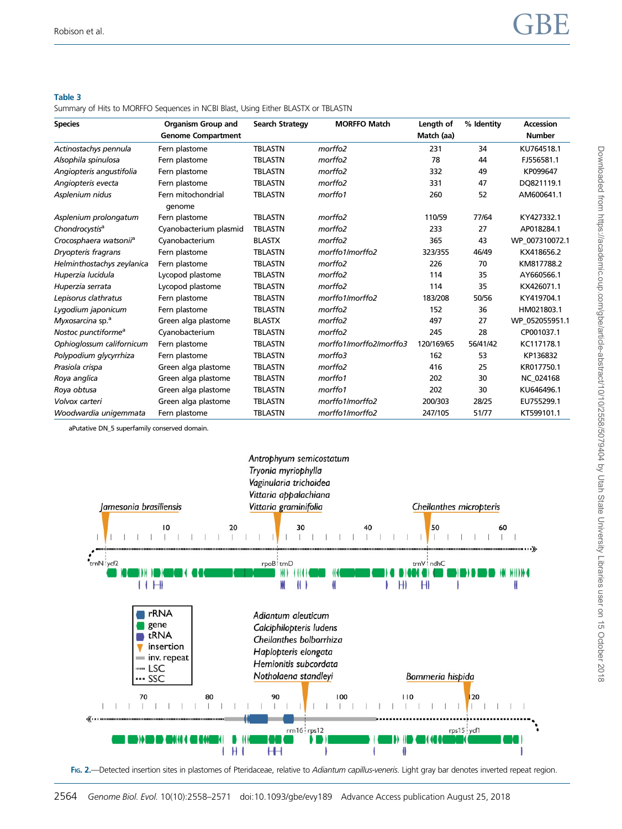#### <span id="page-6-0"></span>Summary of Hits to MORFFO Sequences in NCBI Blast, Using Either BLASTX or TBLASTN

| <b>Species</b>                     | <b>Organism Group and</b>    | <b>Search Strategy</b> | <b>MORFFO Match</b>     | Length of  | % Identity | Accession      |
|------------------------------------|------------------------------|------------------------|-------------------------|------------|------------|----------------|
|                                    | <b>Genome Compartment</b>    |                        |                         | Match (aa) |            | <b>Number</b>  |
| Actinostachys pennula              | Fern plastome                | <b>TBLASTN</b>         | morffo <sub>2</sub>     | 231        | 34         | KU764518.1     |
| Alsophila spinulosa                | Fern plastome                | <b>TBLASTN</b>         | morffo <sub>2</sub>     | 78         | 44         | FJ556581.1     |
| Angiopteris angustifolia           | Fern plastome                | <b>TBLASTN</b>         | morffo <sub>2</sub>     | 332        | 49         | KP099647       |
| Angiopteris evecta                 | Fern plastome                | <b>TBLASTN</b>         | morffo <sub>2</sub>     | 331        | 47         | DO821119.1     |
| Asplenium nidus                    | Fern mitochondrial<br>genome | <b>TBLASTN</b>         | morffo1                 | 260        | 52         | AM600641.1     |
| Asplenium prolongatum              | Fern plastome                | <b>TBLASTN</b>         | morffo <sub>2</sub>     | 110/59     | 77/64      | KY427332.1     |
| Chondrocystis <sup>a</sup>         | Cyanobacterium plasmid       | <b>TBLASTN</b>         | morffo <sub>2</sub>     | 233        | 27         | AP018284.1     |
| Crocosphaera watsonii <sup>a</sup> | Cyanobacterium               | <b>BLASTX</b>          | morffo <sub>2</sub>     | 365        | 43         | WP 007310072.1 |
| Dryopteris fragrans                | Fern plastome                | <b>TBLASTN</b>         | morffo1/morffo2         | 323/355    | 46/49      | KX418656.2     |
| Helminthostachys zeylanica         | Fern plastome                | <b>TBLASTN</b>         | morffo <sub>2</sub>     | 226        | 70         | KM817788.2     |
| Huperzia lucidula                  | Lycopod plastome             | <b>TBLASTN</b>         | morffo <sub>2</sub>     | 114        | 35         | AY660566.1     |
| Huperzia serrata                   | Lycopod plastome             | <b>TBLASTN</b>         | morffo <sub>2</sub>     | 114        | 35         | KX426071.1     |
| Lepisorus clathratus               | Fern plastome                | <b>TBLASTN</b>         | morffo1/morffo2         | 183/208    | 50/56      | KY419704.1     |
| Lygodium japonicum                 | Fern plastome                | <b>TBLASTN</b>         | morffo <sub>2</sub>     | 152        | 36         | HM021803.1     |
| Myxosarcina sp. <sup>a</sup>       | Green alga plastome          | <b>BLASTX</b>          | morffo <sub>2</sub>     | 497        | 27         | WP 052055951.1 |
| Nostoc punctiforme <sup>a</sup>    | Cyanobacterium               | <b>TBLASTN</b>         | morffo <sub>2</sub>     | 245        | 28         | CP001037.1     |
| Ophioglossum californicum          | Fern plastome                | <b>TBLASTN</b>         | morffo1/morffo2/morffo3 | 120/169/65 | 56/41/42   | KC117178.1     |
| Polypodium glycyrrhiza             | Fern plastome                | <b>TBLASTN</b>         | morffo3                 | 162        | 53         | KP136832       |
| Prasiola crispa                    | Green alga plastome          | <b>TBLASTN</b>         | morffo <sub>2</sub>     | 416        | 25         | KR017750.1     |
| Roya anglica                       | Green alga plastome          | <b>TBLASTN</b>         | morffo1                 | 202        | 30         | NC 024168      |
| Roya obtusa                        | Green alga plastome          | <b>TBLASTN</b>         | morffo1                 | 202        | 30         | KU646496.1     |
| Volvox carteri                     | Green alga plastome          | <b>TBLASTN</b>         | morffo1/morffo2         | 200/303    | 28/25      | EU755299.1     |
| Woodwardia unigemmata              | Fern plastome                | <b>TBLASTN</b>         | morffo1/morffo2         | 247/105    | 51/77      | KT599101.1     |

aPutative DN\_5 superfamily conserved domain.

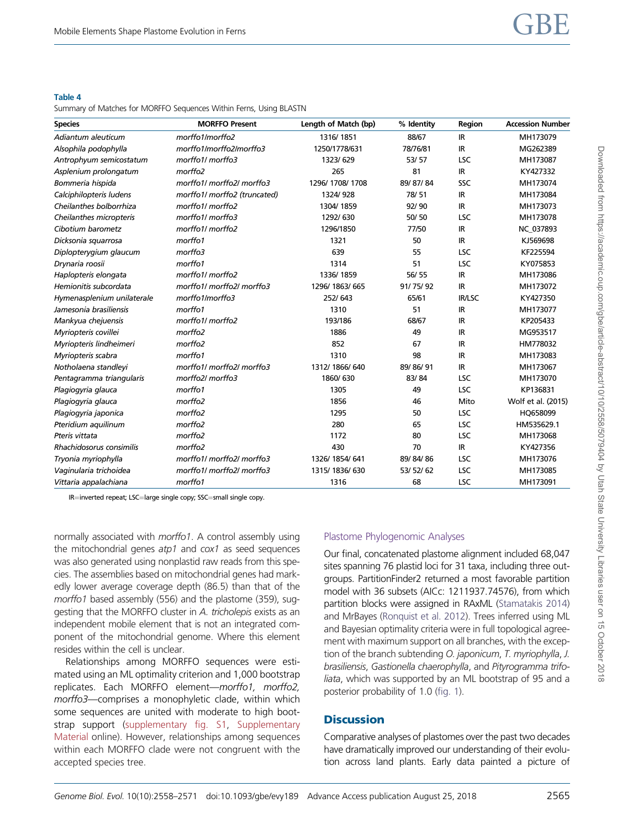<span id="page-7-0"></span>Summary of Matches for MORFFO Sequences Within Ferns, Using BLASTN

| <b>Species</b>             | <b>MORFFO Present</b>        | Length of Match (bp) | % Identity | Region     | <b>Accession Number</b> |
|----------------------------|------------------------------|----------------------|------------|------------|-------------------------|
| Adiantum aleuticum         | morffo1/morffo2              | 1316/1851            | 88/67      | IR.        | MH173079                |
| Alsophila podophylla       | morffo1/morffo2/morffo3      | 1250/1778/631        | 78/76/81   | IR.        | MG262389                |
| Antrophyum semicostatum    | morffo1/ morffo3             | 1323/629             | 53/57      | <b>LSC</b> | MH173087                |
| Asplenium prolongatum      | morffo2                      | 265                  | 81         | <b>IR</b>  | KY427332                |
| Bommeria hispida           | morffo1/ morffo2/ morffo3    | 1296/1708/1708       | 89/87/84   | SSC        | MH173074                |
| Calciphilopteris ludens    | morffo1/ morffo2 (truncated) | 1324/928             | 78/51      | IR.        | MH173084                |
| Cheilanthes bolborrhiza    | morffo1/ morffo2             | 1304/1859            | 92/90      | <b>IR</b>  | MH173073                |
| Cheilanthes micropteris    | morffo1/ morffo3             | 1292/630             | 50/50      | <b>LSC</b> | MH173078                |
| Cibotium barometz          | morffo1/ morffo2             | 1296/1850            | 77/50      | IR.        | NC_037893               |
| Dicksonia squarrosa        | morffo1                      | 1321                 | 50         | IR.        | KJ569698                |
| Diplopterygium glaucum     | morffo3                      | 639                  | 55         | <b>LSC</b> | KF225594                |
| Drynaria roosii            | morffo1                      | 1314                 | 51         | <b>LSC</b> | KY075853                |
| Haplopteris elongata       | morffo1/morffo2              | 1336/1859            | 56/55      | IR.        | MH173086                |
| Hemionitis subcordata      | morffo1/ morffo2/ morffo3    | 1296/1863/665        | 91/75/92   | IR.        | MH173072                |
| Hymenasplenium unilaterale | morffo1/morffo3              | 252/643              | 65/61      | IR/LSC     | KY427350                |
| Jamesonia brasiliensis     | morffo1                      | 1310                 | 51         | IR         | MH173077                |
| Mankyua chejuensis         | morffo1/ morffo2             | 193/186              | 68/67      | IR         | KP205433                |
| Myriopteris covillei       | morffo <sub>2</sub>          | 1886                 | 49         | IR.        | MG953517                |
| Myriopteris lindheimeri    | morffo <sub>2</sub>          | 852                  | 67         | <b>IR</b>  | HM778032                |
| Myriopteris scabra         | morffo1                      | 1310                 | 98         | IR.        | MH173083                |
| Notholaena standleyi       | morffo1/ morffo2/ morffo3    | 1312/ 1866/ 640      | 89/86/91   | IR.        | MH173067                |
| Pentagramma triangularis   | morffo2/ morffo3             | 1860/630             | 83/84      | <b>LSC</b> | MH173070                |
| Plagiogyria glauca         | morffo1                      | 1305                 | 49         | LSC        | KP136831                |
| Plagiogyria glauca         | morffo <sub>2</sub>          | 1856                 | 46         | Mito       | Wolf et al. (2015)      |
| Plagiogyria japonica       | morffo <sub>2</sub>          | 1295                 | 50         | <b>LSC</b> | HQ658099                |
| Pteridium aquilinum        | morffo <sub>2</sub>          | 280                  | 65         | <b>LSC</b> | HM535629.1              |
| Pteris vittata             | morffo <sub>2</sub>          | 1172                 | 80         | <b>LSC</b> | MH173068                |
| Rhachidosorus consimilis   | morffo <sub>2</sub>          | 430                  | 70         | IR         | KY427356                |
| Tryonia myriophylla        | morffo1/ morffo2/ morffo3    | 1326/1854/641        | 89/84/86   | <b>LSC</b> | MH173076                |
| Vaginularia trichoidea     | morffo1/ morffo2/ morffo3    | 1315/1836/630        | 53/52/62   | <b>LSC</b> | MH173085                |
| Vittaria appalachiana      | morffo1                      | 1316                 | 68         | LSC        | MH173091                |

IR=inverted repeat; LSC=large single copy; SSC=small single copy.

normally associated with morffo1. A control assembly using the mitochondrial genes  $atp1$  and  $cot1$  as seed sequences was also generated using nonplastid raw reads from this species. The assemblies based on mitochondrial genes had markedly lower average coverage depth (86.5) than that of the morffo1 based assembly (556) and the plastome (359), suggesting that the MORFFO cluster in A. tricholepis exists as an independent mobile element that is not an integrated component of the mitochondrial genome. Where this element resides within the cell is unclear.

Relationships among MORFFO sequences were estimated using an ML optimality criterion and 1,000 bootstrap replicates. Each MORFFO element—morffo1, morffo2, morffo3—comprises a monophyletic clade, within which some sequences are united with moderate to high bootstrap support [\(supplementary fig. S1](https://academic.oup.com/gbe/article-lookup/doi/10.1093/gbe/evy189#supplementary-data), [Supplementary](https://academic.oup.com/gbe/article-lookup/doi/10.1093/gbe/evy189#supplementary-data) [Material](https://academic.oup.com/gbe/article-lookup/doi/10.1093/gbe/evy189#supplementary-data) online). However, relationships among sequences within each MORFFO clade were not congruent with the accepted species tree.

# Plastome Phylogenomic Analyses

Our final, concatenated plastome alignment included 68,047 sites spanning 76 plastid loci for 31 taxa, including three outgroups. PartitionFinder2 returned a most favorable partition model with 36 subsets (AICc: 1211937.74576), from which partition blocks were assigned in RAxML ([Stamatakis 2014](#page-13-0)) and MrBayes [\(Ronquist et al. 2012\)](#page-12-0). Trees inferred using ML and Bayesian optimality criteria were in full topological agreement with maximum support on all branches, with the exception of the branch subtending O. japonicum, T. myriophylla, J. brasiliensis, Gastionella chaerophylla, and Pityrogramma trifoliata, which was supported by an ML bootstrap of 95 and a posterior probability of 1.0 [\(fig. 1\)](#page-4-0).

# **Discussion**

Comparative analyses of plastomes over the past two decades have dramatically improved our understanding of their evolution across land plants. Early data painted a picture of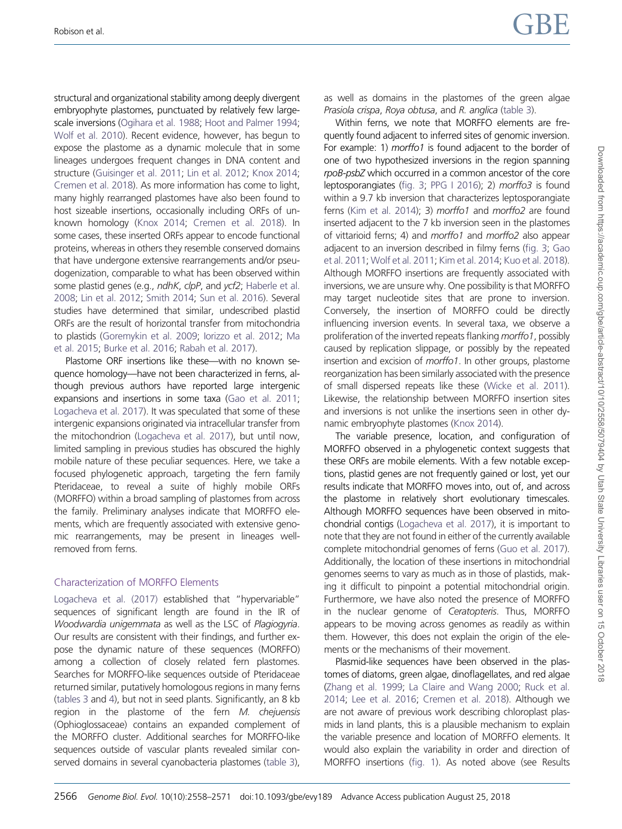structural and organizational stability among deeply divergent embryophyte plastomes, punctuated by relatively few largescale inversions ([Ogihara et al. 1988](#page-12-0); [Hoot and Palmer 1994;](#page-11-0) [Wolf et al. 2010](#page-13-0)). Recent evidence, however, has begun to expose the plastome as a dynamic molecule that in some lineages undergoes frequent changes in DNA content and structure [\(Guisinger et al. 2011;](#page-11-0) [Lin et al. 2012](#page-12-0); [Knox 2014;](#page-12-0) [Cremen et al. 2018](#page-11-0)). As more information has come to light, many highly rearranged plastomes have also been found to host sizeable insertions, occasionally including ORFs of unknown homology [\(Knox 2014](#page-12-0); [Cremen et al. 2018\)](#page-11-0). In some cases, these inserted ORFs appear to encode functional proteins, whereas in others they resemble conserved domains that have undergone extensive rearrangements and/or pseudogenization, comparable to what has been observed within some plastid genes (e.g., ndhK, clpP, and ycf2; [Haberle et al.](#page-11-0) [2008](#page-11-0); [Lin et al. 2012;](#page-12-0) [Smith 2014;](#page-12-0) [Sun et al. 2016\)](#page-13-0). Several studies have determined that similar, undescribed plastid ORFs are the result of horizontal transfer from mitochondria to plastids [\(Goremykin et al. 2009;](#page-11-0) [Iorizzo et al. 2012](#page-11-0); [Ma](#page-12-0) [et al. 2015](#page-12-0); [Burke et al. 2016;](#page-11-0) [Rabah et al. 2017\)](#page-12-0).

Plastome ORF insertions like these—with no known sequence homology—have not been characterized in ferns, although previous authors have reported large intergenic expansions and insertions in some taxa [\(Gao et al. 2011;](#page-11-0) [Logacheva et al. 2017](#page-12-0)). It was speculated that some of these intergenic expansions originated via intracellular transfer from the mitochondrion ([Logacheva et al. 2017\)](#page-12-0), but until now, limited sampling in previous studies has obscured the highly mobile nature of these peculiar sequences. Here, we take a focused phylogenetic approach, targeting the fern family Pteridaceae, to reveal a suite of highly mobile ORFs (MORFFO) within a broad sampling of plastomes from across the family. Preliminary analyses indicate that MORFFO elements, which are frequently associated with extensive genomic rearrangements, may be present in lineages wellremoved from ferns.

# Characterization of MORFFO Elements

[Logacheva et al. \(2017\)](#page-12-0) established that "hypervariable" sequences of significant length are found in the IR of Woodwardia unigemmata as well as the LSC of Plagiogyria. Our results are consistent with their findings, and further expose the dynamic nature of these sequences (MORFFO) among a collection of closely related fern plastomes. Searches for MORFFO-like sequences outside of Pteridaceae returned similar, putatively homologous regions in many ferns [\(tables 3](#page-6-0) and [4](#page-7-0)), but not in seed plants. Significantly, an 8 kb region in the plastome of the fern M. chejuensis (Ophioglossaceae) contains an expanded complement of the MORFFO cluster. Additional searches for MORFFO-like sequences outside of vascular plants revealed similar conserved domains in several cyanobacteria plastomes [\(table 3](#page-6-0)),

as well as domains in the plastomes of the green algae Prasiola crispa, Roya obtusa, and R. anglica [\(table 3\)](#page-6-0).

Within ferns, we note that MORFFO elements are frequently found adjacent to inferred sites of genomic inversion. For example: 1) morffo1 is found adjacent to the border of one of two hypothesized inversions in the region spanning rpoB-psbZ which occurred in a common ancestor of the core leptosporangiates [\(fig. 3](#page-9-0); [PPG I 2016](#page-12-0)); 2) morffo3 is found within a 9.7 kb inversion that characterizes leptosporangiate ferns ([Kim et al. 2014](#page-12-0)); 3) morffo1 and morffo2 are found inserted adjacent to the 7 kb inversion seen in the plastomes of vittarioid ferns; 4) and morffo1 and morffo2 also appear adiacent to an inversion described in filmy ferns [\(fig. 3;](#page-9-0) [Gao](#page-11-0) [et al. 2011;](#page-11-0) [Wolf et al. 2011](#page-13-0); [Kim et al. 2014](#page-12-0); [Kuo et al. 2018\)](#page-12-0). Although MORFFO insertions are frequently associated with inversions, we are unsure why. One possibility is that MORFFO may target nucleotide sites that are prone to inversion. Conversely, the insertion of MORFFO could be directly influencing inversion events. In several taxa, we observe a proliferation of the inverted repeats flanking morffo1, possibly caused by replication slippage, or possibly by the repeated insertion and excision of morffo1. In other groups, plastome reorganization has been similarly associated with the presence of small dispersed repeats like these [\(Wicke et al. 2011\)](#page-13-0). Likewise, the relationship between MORFFO insertion sites and inversions is not unlike the insertions seen in other dynamic embryophyte plastomes [\(Knox 2014](#page-12-0)).

The variable presence, location, and configuration of MORFFO observed in a phylogenetic context suggests that these ORFs are mobile elements. With a few notable exceptions, plastid genes are not frequently gained or lost, yet our results indicate that MORFFO moves into, out of, and across the plastome in relatively short evolutionary timescales. Although MORFFO sequences have been observed in mitochondrial contigs ([Logacheva et al. 2017\)](#page-12-0), it is important to note that they are not found in either of the currently available complete mitochondrial genomes of ferns ([Guo et al. 2017\)](#page-11-0). Additionally, the location of these insertions in mitochondrial genomes seems to vary as much as in those of plastids, making it difficult to pinpoint a potential mitochondrial origin. Furthermore, we have also noted the presence of MORFFO in the nuclear genome of Ceratopteris. Thus, MORFFO appears to be moving across genomes as readily as within them. However, this does not explain the origin of the elements or the mechanisms of their movement.

Plasmid-like sequences have been observed in the plastomes of diatoms, green algae, dinoflagellates, and red algae [\(Zhang et al. 1999](#page-13-0); [La Claire and Wang 2000](#page-12-0); [Ruck et al.](#page-12-0) [2014;](#page-12-0) [Lee et al. 2016;](#page-12-0) [Cremen et al. 2018\)](#page-11-0). Although we are not aware of previous work describing chloroplast plasmids in land plants, this is a plausible mechanism to explain the variable presence and location of MORFFO elements. It would also explain the variability in order and direction of MORFFO insertions [\(fig. 1](#page-4-0)). As noted above (see Results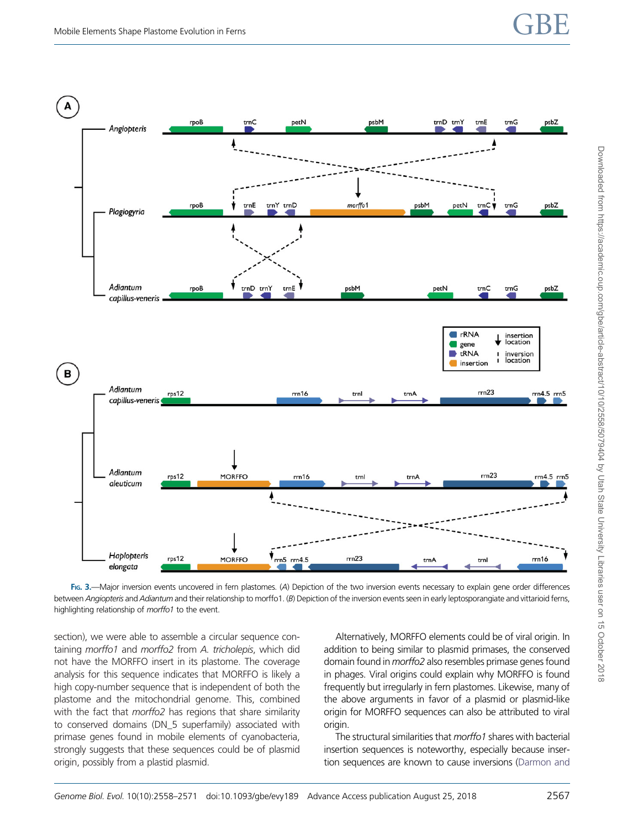<span id="page-9-0"></span>

FIG. 3.-Major inversion events uncovered in fern plastomes. (A) Depiction of the two inversion events necessary to explain gene order differences between Angiopteris and Adiantum and their relationship to morffo1. (B) Depiction of the inversion events seen in early leptosporangiate and vittarioid ferns, highlighting relationship of morffo1 to the event.

section), we were able to assemble a circular sequence containing morffo1 and morffo2 from A. tricholepis, which did not have the MORFFO insert in its plastome. The coverage analysis for this sequence indicates that MORFFO is likely a high copy-number sequence that is independent of both the plastome and the mitochondrial genome. This, combined with the fact that morffo2 has regions that share similarity to conserved domains (DN\_5 superfamily) associated with primase genes found in mobile elements of cyanobacteria, strongly suggests that these sequences could be of plasmid origin, possibly from a plastid plasmid.

Alternatively, MORFFO elements could be of viral origin. In addition to being similar to plasmid primases, the conserved domain found in morffo2 also resembles primase genes found in phages. Viral origins could explain why MORFFO is found frequently but irregularly in fern plastomes. Likewise, many of the above arguments in favor of a plasmid or plasmid-like origin for MORFFO sequences can also be attributed to viral origin.

The structural similarities that *morffo1* shares with bacterial insertion sequences is noteworthy, especially because insertion sequences are known to cause inversions [\(Darmon and](#page-11-0)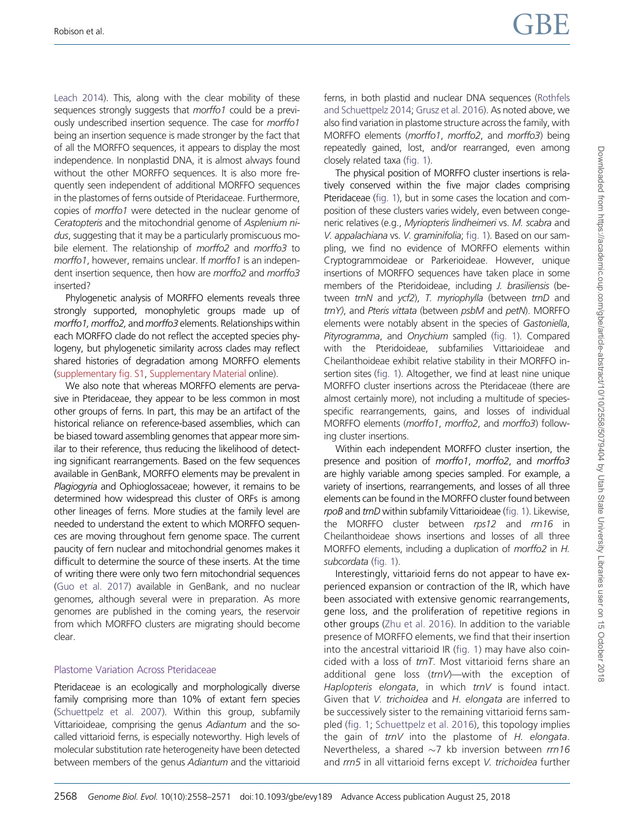Robison et al.  $\begin{array}{ccc} \text{Robison et al.} \end{array}$ 

[Leach 2014\)](#page-11-0). This, along with the clear mobility of these sequences strongly suggests that *morffo1* could be a previously undescribed insertion sequence. The case for morffo1 being an insertion sequence is made stronger by the fact that of all the MORFFO sequences, it appears to display the most independence. In nonplastid DNA, it is almost always found without the other MORFFO sequences. It is also more frequently seen independent of additional MORFFO sequences in the plastomes of ferns outside of Pteridaceae. Furthermore, copies of morffo1 were detected in the nuclear genome of Ceratopteris and the mitochondrial genome of Asplenium nidus, suggesting that it may be a particularly promiscuous mobile element. The relationship of morffo2 and morffo3 to morffo1, however, remains unclear. If morffo1 is an independent insertion sequence, then how are morffo2 and morffo3 inserted?

Phylogenetic analysis of MORFFO elements reveals three strongly supported, monophyletic groups made up of morffo1, morffo2, and morffo3 elements. Relationships within each MORFFO clade do not reflect the accepted species phylogeny, but phylogenetic similarity across clades may reflect shared histories of degradation among MORFFO elements [\(supplementary fig. S1](https://academic.oup.com/gbe/article-lookup/doi/10.1093/gbe/evy189#supplementary-data), [Supplementary Material](https://academic.oup.com/gbe/article-lookup/doi/10.1093/gbe/evy189#supplementary-data) online).

We also note that whereas MORFFO elements are pervasive in Pteridaceae, they appear to be less common in most other groups of ferns. In part, this may be an artifact of the historical reliance on reference-based assemblies, which can be biased toward assembling genomes that appear more similar to their reference, thus reducing the likelihood of detecting significant rearrangements. Based on the few sequences available in GenBank, MORFFO elements may be prevalent in Plagiogyria and Ophioglossaceae; however, it remains to be determined how widespread this cluster of ORFs is among other lineages of ferns. More studies at the family level are needed to understand the extent to which MORFFO sequences are moving throughout fern genome space. The current paucity of fern nuclear and mitochondrial genomes makes it difficult to determine the source of these inserts. At the time of writing there were only two fern mitochondrial sequences [\(Guo et al. 2017](#page-11-0)) available in GenBank, and no nuclear genomes, although several were in preparation. As more genomes are published in the coming years, the reservoir from which MORFFO clusters are migrating should become clear.

## Plastome Variation Across Pteridaceae

Pteridaceae is an ecologically and morphologically diverse family comprising more than 10% of extant fern species [\(Schuettpelz et al. 2007](#page-12-0)). Within this group, subfamily Vittarioideae, comprising the genus Adiantum and the socalled vittarioid ferns, is especially noteworthy. High levels of molecular substitution rate heterogeneity have been detected between members of the genus Adiantum and the vittarioid ferns, in both plastid and nuclear DNA sequences ([Rothfels](#page-12-0) [and Schuettpelz 2014;](#page-12-0) [Grusz et al. 2016](#page-11-0)). As noted above, we also find variation in plastome structure across the family, with MORFFO elements (morffo1, morffo2, and morffo3) being repeatedly gained, lost, and/or rearranged, even among closely related taxa [\(fig. 1](#page-4-0)).

The physical position of MORFFO cluster insertions is relatively conserved within the five major clades comprising Pteridaceae [\(fig. 1](#page-4-0)), but in some cases the location and composition of these clusters varies widely, even between congeneric relatives (e.g., Myriopteris lindheimeri vs. M. scabra and V. appalachiana vs. V. graminifolia; [fig. 1\)](#page-4-0). Based on our sampling, we find no evidence of MORFFO elements within Cryptogrammoideae or Parkerioideae. However, unique insertions of MORFFO sequences have taken place in some members of the Pteridoideae, including *J. brasiliensis* (between trnN and ycf2), T. myriophylla (between trnD and trnY), and Pteris vittata (between psbM and petN). MORFFO elements were notably absent in the species of Gastoniella, Pityrogramma, and Onychium sampled [\(fig. 1](#page-4-0)). Compared with the Pteridoideae, subfamilies Vittarioideae and Cheilanthoideae exhibit relative stability in their MORFFO insertion sites [\(fig. 1\)](#page-4-0). Altogether, we find at least nine unique MORFFO cluster insertions across the Pteridaceae (there are almost certainly more), not including a multitude of speciesspecific rearrangements, gains, and losses of individual MORFFO elements (morffo1, morffo2, and morffo3) following cluster insertions.

Within each independent MORFFO cluster insertion, the presence and position of morffo1, morffo2, and morffo3 are highly variable among species sampled. For example, a variety of insertions, rearrangements, and losses of all three elements can be found in the MORFFO cluster found between rpoB and trnD within subfamily Vittarioideae [\(fig. 1](#page-4-0)). Likewise, the MORFFO cluster between rps12 and rrn16 in Cheilanthoideae shows insertions and losses of all three MORFFO elements, including a duplication of morffo2 in H. subcordata [\(fig. 1\)](#page-4-0).

Interestingly, vittarioid ferns do not appear to have experienced expansion or contraction of the IR, which have been associated with extensive genomic rearrangements, gene loss, and the proliferation of repetitive regions in other groups ([Zhu et al. 2016\)](#page-13-0). In addition to the variable presence of MORFFO elements, we find that their insertion into the ancestral vittarioid IR ([fig. 1\)](#page-4-0) may have also coincided with a loss of trnT. Most vittarioid ferns share an additional gene loss  $(trnV)$ —with the exception of Haplopteris elongata, in which trnV is found intact. Given that V. trichoidea and H. elongata are inferred to be successively sister to the remaining vittarioid ferns sampled [\(fig. 1](#page-4-0); [Schuettpelz et al. 2016\)](#page-12-0), this topology implies the gain of  $trnV$  into the plastome of H. elongata. Nevertheless, a shared  $\sim$ 7 kb inversion between  $rrn16$ and rrn5 in all vittarioid ferns except V. trichoidea further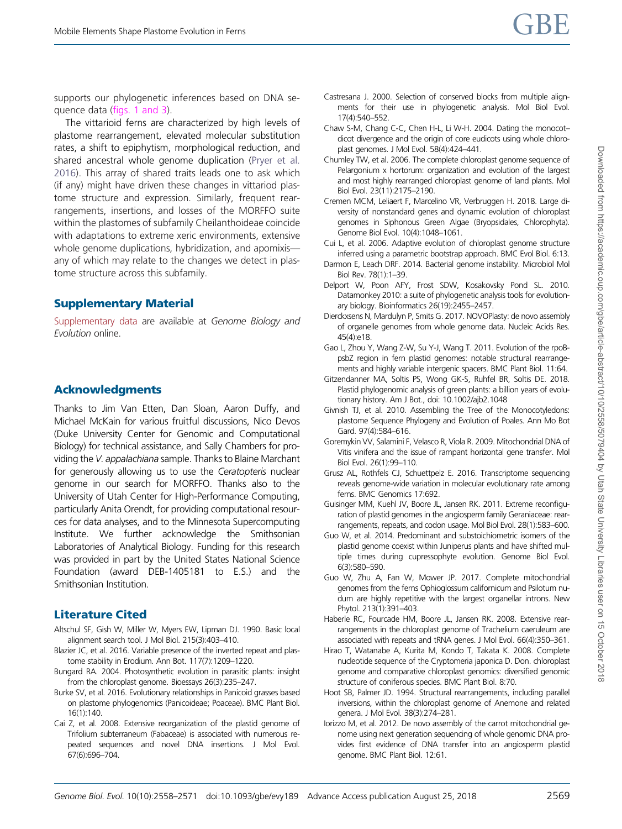Downloaded from https://academic.oup.com/gbe/article-abstract/10/10/2558/5079404 by Utah State University Libraries user on 15 October 2018 Downloaded from https://academic.oup.com/gbe/article-abstract/10/10/2558/5079404 by Utah State University Libraries user on 15 October 2018

<span id="page-11-0"></span>supports our phylogenetic inferences based on DNA sequence data (figs. 1 and 3).

The vittarioid ferns are characterized by high levels of plastome rearrangement, elevated molecular substitution rates, a shift to epiphytism, morphological reduction, and shared ancestral whole genome duplication [\(Pryer et al.](#page-12-0) [2016\)](#page-12-0). This array of shared traits leads one to ask which (if any) might have driven these changes in vittariod plastome structure and expression. Similarly, frequent rearrangements, insertions, and losses of the MORFFO suite within the plastomes of subfamily Cheilanthoideae coincide with adaptations to extreme xeric environments, extensive whole genome duplications, hybridization, and apomixis any of which may relate to the changes we detect in plastome structure across this subfamily.

## Supplementary Material

[Supplementary data](https://academic.oup.com/gbe/article-lookup/doi/10.1093/gbe/evy189#supplementary-data) are available at Genome Biology and Evolution online.

### Acknowledgments

Thanks to Jim Van Etten, Dan Sloan, Aaron Duffy, and Michael McKain for various fruitful discussions, Nico Devos (Duke University Center for Genomic and Computational Biology) for technical assistance, and Sally Chambers for providing the V. appalachiana sample. Thanks to Blaine Marchant for generously allowing us to use the Ceratopteris nuclear genome in our search for MORFFO. Thanks also to the University of Utah Center for High-Performance Computing, particularly Anita Orendt, for providing computational resources for data analyses, and to the Minnesota Supercomputing Institute. We further acknowledge the Smithsonian Laboratories of Analytical Biology. Funding for this research was provided in part by the United States National Science Foundation (award DEB-1405181 to E.S.) and the Smithsonian Institution.

## Literature Cited

- Altschul SF, Gish W, Miller W, Myers EW, Lipman DJ. 1990. Basic local alignment search tool. J Mol Biol. 215(3):403–410.
- Blazier JC, et al. 2016. Variable presence of the inverted repeat and plastome stability in Erodium. Ann Bot. 117(7):1209–1220.
- Bungard RA. 2004. Photosynthetic evolution in parasitic plants: insight from the chloroplast genome. Bioessays 26(3):235–247.
- Burke SV, et al. 2016. Evolutionary relationships in Panicoid grasses based on plastome phylogenomics (Panicoideae; Poaceae). BMC Plant Biol. 16(1):140.
- Cai Z, et al. 2008. Extensive reorganization of the plastid genome of Trifolium subterraneum (Fabaceae) is associated with numerous repeated sequences and novel DNA insertions. J Mol Evol. 67(6):696–704.
- Castresana J. 2000. Selection of conserved blocks from multiple alignments for their use in phylogenetic analysis. Mol Biol Evol. 17(4):540–552.
- Chaw S-M, Chang C-C, Chen H-L, Li W-H. 2004. Dating the monocot– dicot divergence and the origin of core eudicots using whole chloroplast genomes. J Mol Evol. 58(4):424–441.
- Chumley TW, et al. 2006. The complete chloroplast genome sequence of Pelargonium x hortorum: organization and evolution of the largest and most highly rearranged chloroplast genome of land plants. Mol Biol Evol. 23(11):2175–2190.
- Cremen MCM, Leliaert F, Marcelino VR, Verbruggen H. 2018. Large diversity of nonstandard genes and dynamic evolution of chloroplast genomes in Siphonous Green Algae (Bryopsidales, Chlorophyta). Genome Biol Evol. 10(4):1048–1061.
- Cui L, et al. 2006. Adaptive evolution of chloroplast genome structure inferred using a parametric bootstrap approach. BMC Evol Biol. 6:13.
- Darmon E, Leach DRF. 2014. Bacterial genome instability. Microbiol Mol Biol Rev. 78(1):1–39.
- Delport W, Poon AFY, Frost SDW, Kosakovsky Pond SL. 2010. Datamonkey 2010: a suite of phylogenetic analysis tools for evolutionary biology. Bioinformatics 26(19):2455–2457.
- Dierckxsens N, Mardulyn P, Smits G. 2017. NOVOPlasty: de novo assembly of organelle genomes from whole genome data. Nucleic Acids Res. 45(4):e18.
- Gao L, Zhou Y, Wang Z-W, Su Y-J, Wang T. 2011. Evolution of the rpoBpsbZ region in fern plastid genomes: notable structural rearrangements and highly variable intergenic spacers. BMC Plant Biol. 11:64.
- Gitzendanner MA, Soltis PS, Wong GK-S, Ruhfel BR, Soltis DE. 2018. Plastid phylogenomic analysis of green plants: a billion years of evolutionary history. Am J Bot., doi: 10.1002/ajb2.1048
- Givnish TJ, et al. 2010. Assembling the Tree of the Monocotyledons: plastome Sequence Phylogeny and Evolution of Poales. Ann Mo Bot Gard. 97(4):584–616.
- Goremykin VV, Salamini F, Velasco R, Viola R. 2009. Mitochondrial DNA of Vitis vinifera and the issue of rampant horizontal gene transfer. Mol Biol Evol. 26(1):99–110.
- Grusz AL, Rothfels CJ, Schuettpelz E. 2016. Transcriptome sequencing reveals genome-wide variation in molecular evolutionary rate among ferns. BMC Genomics 17:692.
- Guisinger MM, Kuehl JV, Boore JL, Jansen RK. 2011. Extreme reconfiguration of plastid genomes in the angiosperm family Geraniaceae: rearrangements, repeats, and codon usage. Mol Biol Evol. 28(1):583–600.
- Guo W, et al. 2014. Predominant and substoichiometric isomers of the plastid genome coexist within Juniperus plants and have shifted multiple times during cupressophyte evolution. Genome Biol Evol. 6(3):580–590.
- Guo W, Zhu A, Fan W, Mower JP. 2017. Complete mitochondrial genomes from the ferns Ophioglossum californicum and Psilotum nudum are highly repetitive with the largest organellar introns. New Phytol. 213(1):391–403.
- Haberle RC, Fourcade HM, Boore JL, Jansen RK. 2008. Extensive rearrangements in the chloroplast genome of Trachelium caeruleum are associated with repeats and tRNA genes. J Mol Evol. 66(4):350–361.
- Hirao T, Watanabe A, Kurita M, Kondo T, Takata K. 2008. Complete nucleotide sequence of the Cryptomeria japonica D. Don. chloroplast genome and comparative chloroplast genomics: diversified genomic structure of coniferous species. BMC Plant Biol. 8:70.
- Hoot SB, Palmer JD. 1994. Structural rearrangements, including parallel inversions, within the chloroplast genome of Anemone and related genera. J Mol Evol. 38(3):274–281.
- Iorizzo M, et al. 2012. De novo assembly of the carrot mitochondrial genome using next generation sequencing of whole genomic DNA provides first evidence of DNA transfer into an angiosperm plastid genome. BMC Plant Biol. 12:61.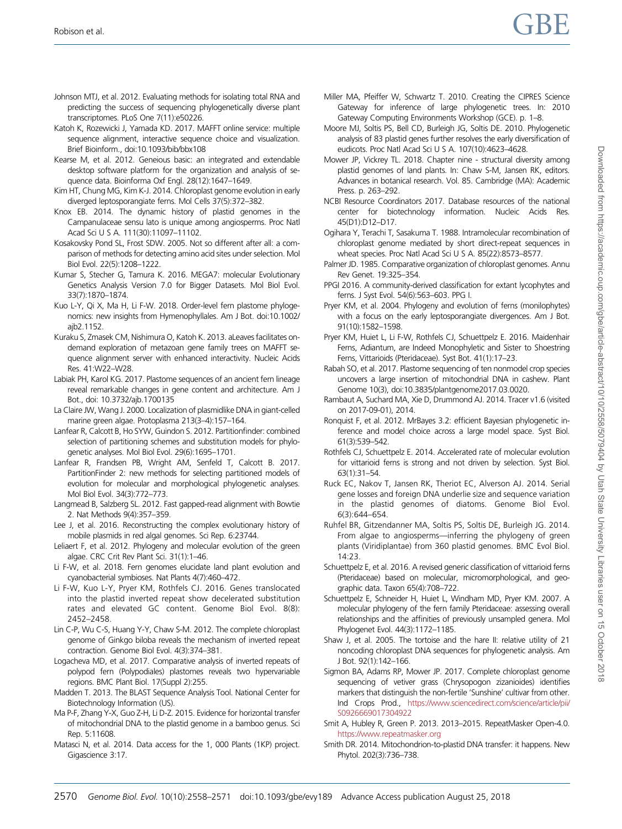- <span id="page-12-0"></span>Johnson MTJ, et al. 2012. Evaluating methods for isolating total RNA and predicting the success of sequencing phylogenetically diverse plant transcriptomes. PLoS One 7(11):e50226.
- Katoh K, Rozewicki J, Yamada KD. 2017. MAFFT online service: multiple sequence alignment, interactive sequence choice and visualization. Brief Bioinform., doi:10.1093/bib/bbx108
- Kearse M, et al. 2012. Geneious basic: an integrated and extendable desktop software platform for the organization and analysis of sequence data. Bioinforma Oxf Engl. 28(12):1647–1649.
- Kim HT, Chung MG, Kim K-J. 2014. Chloroplast genome evolution in early diverged leptosporangiate ferns. Mol Cells 37(5):372–382.
- Knox EB. 2014. The dynamic history of plastid genomes in the Campanulaceae sensu lato is unique among angiosperms. Proc Natl Acad Sci U S A. 111(30):11097–11102.
- Kosakovsky Pond SL, Frost SDW. 2005. Not so different after all: a comparison of methods for detecting amino acid sites under selection. Mol Biol Evol. 22(5):1208–1222.
- Kumar S, Stecher G, Tamura K. 2016. MEGA7: molecular Evolutionary Genetics Analysis Version 7.0 for Bigger Datasets. Mol Biol Evol. 33(7):1870–1874.
- Kuo L-Y, Qi X, Ma H, Li F-W. 2018. Order-level fern plastome phylogenomics: new insights from Hymenophyllales. Am J Bot. doi:10.1002/ aih<sub>2</sub> 1152
- Kuraku S, Zmasek CM, Nishimura O, Katoh K. 2013. aLeaves facilitates ondemand exploration of metazoan gene family trees on MAFFT sequence alignment server with enhanced interactivity. Nucleic Acids Res. 41:W22–W28.
- Labiak PH, Karol KG. 2017. Plastome sequences of an ancient fern lineage reveal remarkable changes in gene content and architecture. Am J Bot., doi: 10.3732/ajb.1700135
- La Claire JW, Wang J. 2000. Localization of plasmidlike DNA in giant-celled marine green algae. Protoplasma 213(3–4):157–164.
- Lanfear R, Calcott B, Ho SYW, Guindon S. 2012. Partitionfinder: combined selection of partitioning schemes and substitution models for phylogenetic analyses. Mol Biol Evol. 29(6):1695–1701.
- Lanfear R, Frandsen PB, Wright AM, Senfeld T, Calcott B. 2017. PartitionFinder 2: new methods for selecting partitioned models of evolution for molecular and morphological phylogenetic analyses. Mol Biol Evol. 34(3):772–773.
- Langmead B, Salzberg SL. 2012. Fast gapped-read alignment with Bowtie 2. Nat Methods 9(4):357–359.
- Lee J, et al. 2016. Reconstructing the complex evolutionary history of mobile plasmids in red algal genomes. Sci Rep. 6:23744.
- Leliaert F, et al. 2012. Phylogeny and molecular evolution of the green algae. CRC Crit Rev Plant Sci. 31(1):1–46.
- Li F-W, et al. 2018. Fern genomes elucidate land plant evolution and cyanobacterial symbioses. Nat Plants 4(7):460–472.
- Li F-W, Kuo L-Y, Pryer KM, Rothfels CJ. 2016. Genes translocated into the plastid inverted repeat show decelerated substitution rates and elevated GC content. Genome Biol Evol. 8(8): 2452–2458.
- Lin C-P, Wu C-S, Huang Y-Y, Chaw S-M. 2012. The complete chloroplast genome of Ginkgo biloba reveals the mechanism of inverted repeat contraction. Genome Biol Evol. 4(3):374–381.
- Logacheva MD, et al. 2017. Comparative analysis of inverted repeats of polypod fern (Polypodiales) plastomes reveals two hypervariable regions. BMC Plant Biol. 17(Suppl 2):255.
- Madden T. 2013. The BLAST Sequence Analysis Tool. National Center for Biotechnology Information (US).
- Ma P-F, Zhang Y-X, Guo Z-H, Li D-Z. 2015. Evidence for horizontal transfer of mitochondrial DNA to the plastid genome in a bamboo genus. Sci Rep. 5:11608.
- Matasci N, et al. 2014. Data access for the 1, 000 Plants (1KP) project. Gigascience 3:17.
- Miller MA, Pfeiffer W, Schwartz T. 2010. Creating the CIPRES Science Gateway for inference of large phylogenetic trees. In: 2010 Gateway Computing Environments Workshop (GCE). p. 1–8.
- Moore MJ, Soltis PS, Bell CD, Burleigh JG, Soltis DE. 2010. Phylogenetic analysis of 83 plastid genes further resolves the early diversification of eudicots. Proc Natl Acad Sci U S A. 107(10):4623–4628.
- Mower JP, Vickrey TL. 2018. Chapter nine structural diversity among plastid genomes of land plants. In: Chaw S-M, Jansen RK, editors. Advances in botanical research. Vol. 85. Cambridge (MA): Academic Press. p. 263–292.
- NCBI Resource Coordinators 2017. Database resources of the national center for biotechnology information. Nucleic Acids Res. 45(D1):D12–D17.
- Ogihara Y, Terachi T, Sasakuma T. 1988. Intramolecular recombination of chloroplast genome mediated by short direct-repeat sequences in wheat species. Proc Natl Acad Sci U S A. 85(22):8573–8577.
- Palmer JD. 1985. Comparative organization of chloroplast genomes. Annu Rev Genet. 19:325–354.
- PPGI 2016. A community-derived classification for extant lycophytes and ferns. J Syst Evol. 54(6):563–603. PPG I.
- Pryer KM, et al. 2004. Phylogeny and evolution of ferns (monilophytes) with a focus on the early leptosporangiate divergences. Am J Bot. 91(10):1582–1598.
- Pryer KM, Huiet L, Li F-W, Rothfels CJ, Schuettpelz E. 2016. Maidenhair Ferns, Adiantum, are Indeed Monophyletic and Sister to Shoestring Ferns, Vittarioids (Pteridaceae). Syst Bot. 41(1):17–23.
- Rabah SO, et al. 2017. Plastome sequencing of ten nonmodel crop species uncovers a large insertion of mitochondrial DNA in cashew. Plant Genome 10(3), doi:10.3835/plantgenome2017.03.0020.
- Rambaut A, Suchard MA, Xie D, Drummond AJ. 2014. Tracer v1.6 (visited on 2017-09-01), 2014.
- Ronquist F, et al. 2012. MrBayes 3.2: efficient Bayesian phylogenetic inference and model choice across a large model space. Syst Biol. 61(3):539–542.
- Rothfels CJ, Schuettpelz E. 2014. Accelerated rate of molecular evolution for vittarioid ferns is strong and not driven by selection. Syst Biol. 63(1):31–54.
- Ruck EC, Nakov T, Jansen RK, Theriot EC, Alverson AJ. 2014. Serial gene losses and foreign DNA underlie size and sequence variation in the plastid genomes of diatoms. Genome Biol Evol. 6(3):644–654.
- Ruhfel BR, Gitzendanner MA, Soltis PS, Soltis DE, Burleigh JG. 2014. From algae to angiosperms—inferring the phylogeny of green plants (Viridiplantae) from 360 plastid genomes. BMC Evol Biol. 14:23.
- Schuettpelz E, et al. 2016. A revised generic classification of vittarioid ferns (Pteridaceae) based on molecular, micromorphological, and geographic data. Taxon 65(4):708–722.
- Schuettpelz E, Schneider H, Huiet L, Windham MD, Pryer KM. 2007. A molecular phylogeny of the fern family Pteridaceae: assessing overall relationships and the affinities of previously unsampled genera. Mol Phylogenet Evol. 44(3):1172–1185.
- Shaw J, et al. 2005. The tortoise and the hare II: relative utility of 21 noncoding chloroplast DNA sequences for phylogenetic analysis. Am J Bot. 92(1):142–166.
- Sigmon BA, Adams RP, Mower JP. 2017. Complete chloroplast genome sequencing of vetiver grass (Chrysopogon zizanioides) identifies markers that distinguish the non-fertile 'Sunshine' cultivar from other. Ind Crops Prod., [https://www.sciencedirect.com/science/article/pii/](https://www.sciencedirect.com/science/article/pii/S0926669017304922) [S0926669017304922](https://www.sciencedirect.com/science/article/pii/S0926669017304922)
- Smit A, Hubley R, Green P. 2013. 2013–2015. RepeatMasker Open-4.0. <https://www.repeatmasker.org>
- Smith DR. 2014. Mitochondrion-to-plastid DNA transfer: it happens. New Phytol. 202(3):736–738.